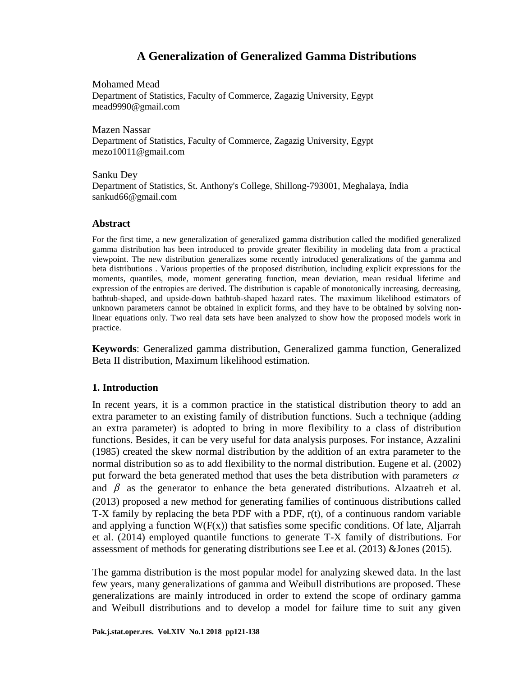Mohamed Mead Department of Statistics, Faculty of Commerce, Zagazig University, Egypt mead9990@gmail.com

Mazen Nassar Department of Statistics, Faculty of Commerce, Zagazig University, Egypt mezo10011@gmail.com

Sanku Dey Department of Statistics, St. Anthony's College, Shillong-793001, Meghalaya, India sankud66@gmail.com

### **Abstract**

For the first time, a new generalization of generalized gamma distribution called the modified generalized gamma distribution has been introduced to provide greater flexibility in modeling data from a practical viewpoint. The new distribution generalizes some recently introduced generalizations of the gamma and beta distributions . Various properties of the proposed distribution, including explicit expressions for the moments, quantiles, mode, moment generating function, mean deviation, mean residual lifetime and expression of the entropies are derived. The distribution is capable of monotonically increasing, decreasing, bathtub-shaped, and upside-down bathtub-shaped hazard rates. The maximum likelihood estimators of unknown parameters cannot be obtained in explicit forms, and they have to be obtained by solving nonlinear equations only. Two real data sets have been analyzed to show how the proposed models work in practice.

**Keywords**: Generalized gamma distribution, Generalized gamma function, Generalized Beta II distribution, Maximum likelihood estimation.

## **1. Introduction**

In recent years, it is a common practice in the statistical distribution theory to add an extra parameter to an existing family of distribution functions. Such a technique (adding an extra parameter) is adopted to bring in more flexibility to a class of distribution functions. Besides, it can be very useful for data analysis purposes. For instance, Azzalini (1985) created the skew normal distribution by the addition of an extra parameter to the normal distribution so as to add flexibility to the normal distribution. Eugene et al. (2002) put forward the beta generated method that uses the beta distribution with parameters  $\alpha$ and  $\beta$  as the generator to enhance the beta generated distributions. Alzaatreh et al. (2013) proposed a new method for generating families of continuous distributions called T-X family by replacing the beta PDF with a PDF,  $r(t)$ , of a continuous random variable and applying a function  $W(F(x))$  that satisfies some specific conditions. Of late, Aljarrah et al. (2014) employed quantile functions to generate T-X family of distributions. For assessment of methods for generating distributions see Lee et al. (2013) &Jones (2015).

The gamma distribution is the most popular model for analyzing skewed data. In the last few years, many generalizations of gamma and Weibull distributions are proposed. These generalizations are mainly introduced in order to extend the scope of ordinary gamma and Weibull distributions and to develop a model for failure time to suit any given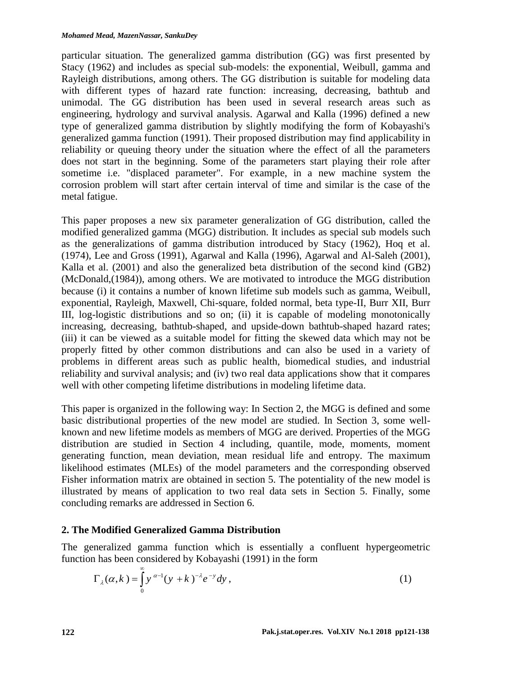particular situation. The generalized gamma distribution (GG) was first presented by Stacy (1962) and includes as special sub-models: the exponential, Weibull, gamma and Rayleigh distributions, among others. The GG distribution is suitable for modeling data with different types of hazard rate function: increasing, decreasing, bathtub and unimodal. The GG distribution has been used in several research areas such as engineering, hydrology and survival analysis. Agarwal and Kalla (1996) defined a new type of generalized gamma distribution by slightly modifying the form of Kobayashi's generalized gamma function (1991). Their proposed distribution may find applicability in reliability or queuing theory under the situation where the effect of all the parameters does not start in the beginning. Some of the parameters start playing their role after sometime i.e. "displaced parameter". For example, in a new machine system the corrosion problem will start after certain interval of time and similar is the case of the metal fatigue.

This paper proposes a new six parameter generalization of GG distribution, called the modified generalized gamma (MGG) distribution. It includes as special sub models such as the generalizations of gamma distribution introduced by Stacy (1962), Hoq et al. (1974), Lee and Gross (1991), Agarwal and Kalla (1996), Agarwal and Al-Saleh (2001), Kalla et al. (2001) and also the generalized beta distribution of the second kind (GB2) (McDonald,(1984)), among others. We are motivated to introduce the MGG distribution because (i) it contains a number of known lifetime sub models such as gamma, Weibull, exponential, Rayleigh, Maxwell, Chi-square, folded normal, beta type-II, Burr XII, Burr III, log-logistic distributions and so on; (ii) it is capable of modeling monotonically increasing, decreasing, bathtub-shaped, and upside-down bathtub-shaped hazard rates; (iii) it can be viewed as a suitable model for fitting the skewed data which may not be properly fitted by other common distributions and can also be used in a variety of problems in different areas such as public health, biomedical studies, and industrial reliability and survival analysis; and (iv) two real data applications show that it compares well with other competing lifetime distributions in modeling lifetime data.

This paper is organized in the following way: In Section 2, the MGG is defined and some basic distributional properties of the new model are studied. In Section 3, some wellknown and new lifetime models as members of MGG are derived. Properties of the MGG distribution are studied in Section 4 including, quantile, mode, moments, moment generating function, mean deviation, mean residual life and entropy. The maximum likelihood estimates (MLEs) of the model parameters and the corresponding observed Fisher information matrix are obtained in section 5. The potentiality of the new model is illustrated by means of application to two real data sets in Section 5. Finally, some concluding remarks are addressed in Section 6.

# **2. The Modified Generalized Gamma Distribution**

The generalized gamma function which is essentially a confluent hypergeometric function has been considered by Kobayashi (1991) in the form

$$
\Gamma_{\lambda}(\alpha, k) = \int_{0}^{\infty} y^{\alpha-1} (y+k)^{-\lambda} e^{-y} dy,
$$
\n(1)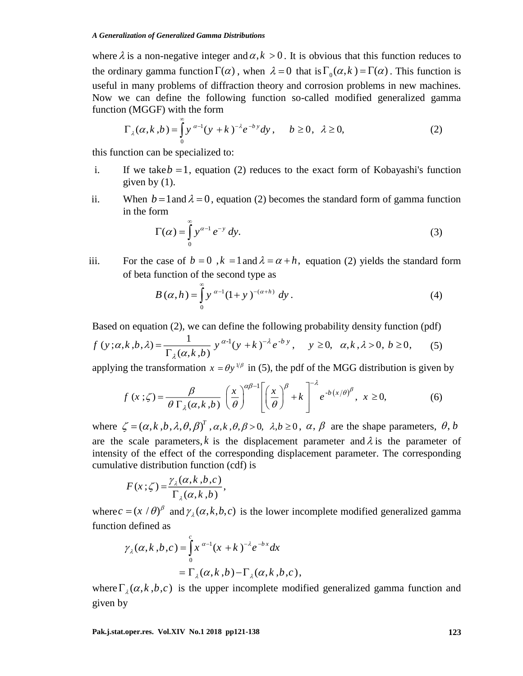where  $\lambda$  is a non-negative integer and  $\alpha$ ,  $k > 0$ . It is obvious that this function reduces to the ordinary gamma function  $\Gamma(\alpha)$ , when  $\lambda = 0$  that is  $\Gamma_0(\alpha, k) = \Gamma(\alpha)$ . This function is useful in many problems of diffraction theory and corrosion problems in new machines. Now we can define the following function so-called modified generalized gamma function (MGGF) with the form

$$
\Gamma_{\lambda}(\alpha, k, b) = \int_{0}^{\infty} y^{\alpha-1} (y+k)^{-\lambda} e^{-by} dy, \quad b \ge 0, \quad \lambda \ge 0,
$$
 (2)

this function can be specialized to:

- i. If we take  $b = 1$ , equation (2) reduces to the exact form of Kobayashi's function given by  $(1)$ .
- ii. When  $b = 1$  and  $\lambda = 0$ , equation (2) becomes the standard form of gamma function in the form

$$
\Gamma(\alpha) = \int_{0}^{\infty} y^{\alpha - 1} e^{-y} dy.
$$
 (3)

iii. For the case of  $b = 0$ ,  $k = 1$  and  $\lambda = \alpha + h$ , equation (2) yields the standard form of beta function of the second type as

$$
B(\alpha, h) = \int_{0}^{\infty} y^{\alpha - 1} (1 + y)^{-(\alpha + h)} dy.
$$
 (4)

Based on equation (2), we can define the following probability density function (pdf)

$$
f(y;\alpha,k,b,\lambda) = \frac{1}{\Gamma_{\lambda}(\alpha,k,b)} y^{\alpha-1} (y+k)^{-\lambda} e^{-by}, \quad y \ge 0, \quad \alpha, k, \lambda > 0, \quad b \ge 0,
$$
 (5)

applying the transformation  $x = \theta y^{1/\beta}$  in (5), the pdf of the MGG distribution is given by

$$
f(x;\zeta) = \frac{\beta}{\theta \Gamma_{\lambda}(\alpha,k,b)} \left(\frac{x}{\theta}\right)^{\alpha\beta-1} \left[\left(\frac{x}{\theta}\right)^{\beta} + k\right]^{-\lambda} e^{-b(x/\theta)^{\beta}}, \ x \ge 0,
$$
 (6)

where  $\zeta = (\alpha, k, b, \lambda, \theta, \beta)^T$ ,  $\alpha, k, \theta, \beta > 0$ ,  $\lambda, b \ge 0$ ,  $\alpha, \beta$  are the shape parameters,  $\theta, b$ are the scale parameters, k is the displacement parameter and  $\lambda$  is the parameter of intensity of the effect of the corresponding displacement parameter. The corresponding cumulative distribution function (cdf) is

$$
F(x;\zeta) = \frac{\gamma_{\lambda}(\alpha,k,b,c)}{\Gamma_{\lambda}(\alpha,k,b)},
$$

where  $c = (x / \theta)^{\beta}$  and  $\gamma_{\lambda}(\alpha, k, b, c)$  is the lower incomplete modified generalized gamma function defined as

$$
\gamma_{\lambda}(\alpha, k, b, c) = \int_{0}^{c} x^{\alpha-1} (x+k)^{-\lambda} e^{-bx} dx
$$
  
=  $\Gamma_{\lambda}(\alpha, k, b) - \Gamma_{\lambda}(\alpha, k, b, c),$ 

where  $\Gamma_{\lambda}(\alpha, k, b, c)$  is the upper incomplete modified generalized gamma function and given by

**Pak.j.stat.oper.res. Vol.XIV No.1 2018 pp121-138 123**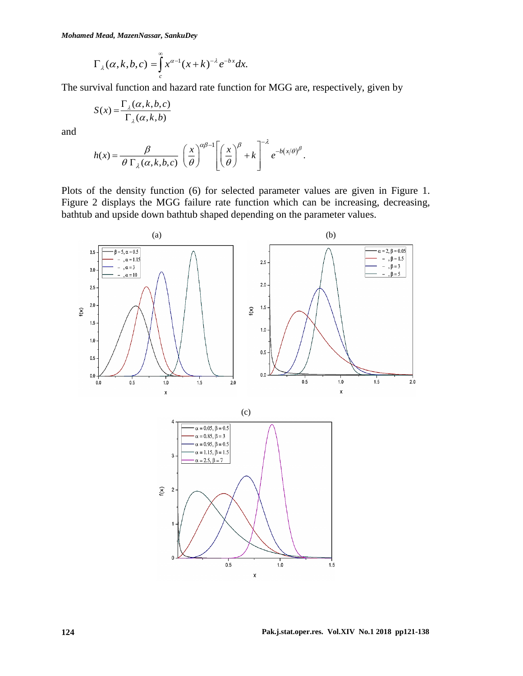*Mohamed Mead, MazenNassar, SankuDey*

$$
\Gamma_{\lambda}(\alpha, k, b, c) = \int_{c}^{\infty} x^{\alpha-1} (x+k)^{-\lambda} e^{-bx} dx.
$$

The survival function and hazard rate function for MGG are, respectively, given by

$$
S(x) = \frac{\Gamma_{\lambda}(\alpha, k, b, c)}{\Gamma_{\lambda}(\alpha, k, b)}
$$

and

$$
h(x) = \frac{\beta}{\theta \Gamma_{\lambda}(\alpha, k, b, c)} \left(\frac{x}{\theta}\right)^{\alpha \beta - 1} \left[\left(\frac{x}{\theta}\right)^{\beta} + k\right]^{-\lambda} e^{-b(x/\theta)^{\beta}}.
$$

Plots of the density function (6) for selected parameter values are given in Figure 1. Figure 2 displays the MGG failure rate function which can be increasing, decreasing, bathtub and upside down bathtub shaped depending on the parameter values.

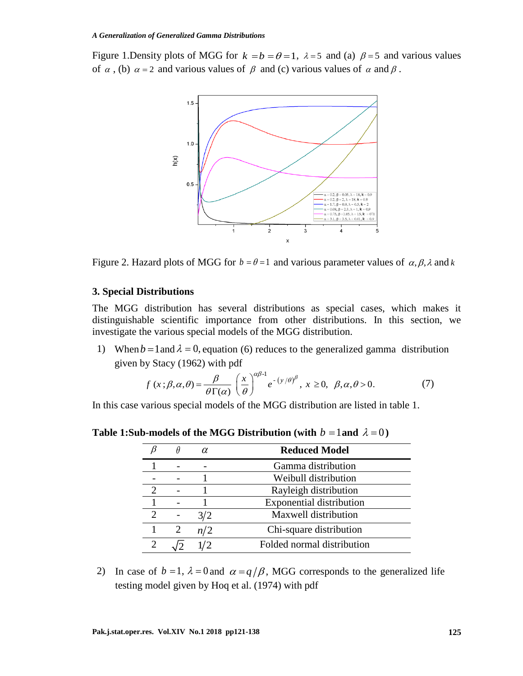Figure 1. Density plots of MGG for  $k = b = \theta = 1$ ,  $\lambda = 5$  and (a)  $\beta = 5$  and various values of  $\alpha$ , (b)  $\alpha = 2$  and various values of  $\beta$  and (c) various values of  $\alpha$  and  $\beta$ .



Figure 2. Hazard plots of MGG for  $b = \theta = 1$  and various parameter values of  $\alpha, \beta, \lambda$  and k

## **3. Special Distributions**

The MGG distribution has several distributions as special cases, which makes it distinguishable scientific importance from other distributions. In this section, we investigate the various special models of the MGG distribution.

1) When  $b = 1$  and  $\lambda = 0$ , equation (6) reduces to the generalized gamma distribution

given by Stacy (1962) with pdf  
\n
$$
f(x;\beta,\alpha,\theta) = \frac{\beta}{\theta \Gamma(\alpha)} \left(\frac{x}{\theta}\right)^{\alpha\beta-1} e^{-(y/\theta)^{\beta}}, x \ge 0, \beta, \alpha, \theta > 0.
$$
\n(7)

In this case various special models of the MGG distribution are listed in table 1.

**Table 1:Sub-models of the MGG Distribution (with**  $b = 1$  **and**  $\lambda = 0$ **)** 

| H | α   | <b>Reduced Model</b>            |
|---|-----|---------------------------------|
|   |     | Gamma distribution              |
|   |     | Weibull distribution            |
|   |     | Rayleigh distribution           |
|   |     | <b>Exponential distribution</b> |
|   | 3/2 | Maxwell distribution            |
| 2 | n/2 | Chi-square distribution         |
|   | 1/2 | Folded normal distribution      |
|   |     |                                 |

2) In case of  $b = 1$ ,  $\lambda = 0$  and  $\alpha = q/\beta$ , MGG corresponds to the generalized life testing model given by Hoq et al. (1974) with pdf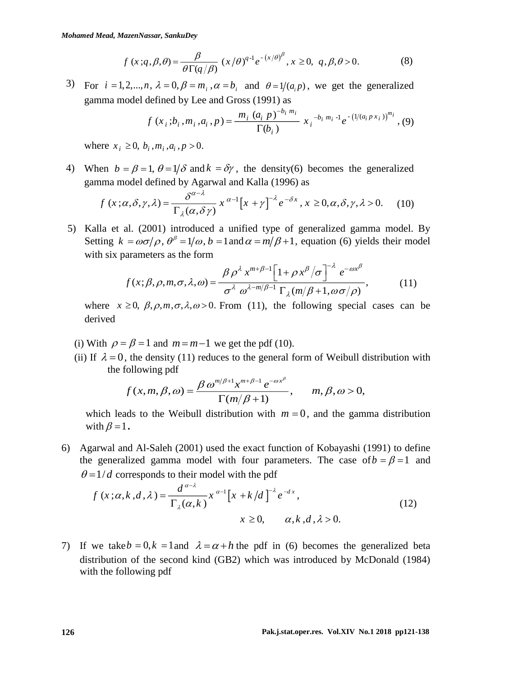$$
f(x;q,\beta,\theta) = \frac{\beta}{\theta \Gamma(q/\beta)} (x/\theta)^{q-1} e^{-(x/\theta)^{\beta}}, x \ge 0, q, \beta, \theta > 0.
$$
 (8)

3) For  $i = 1, 2, ..., n$ ,  $\lambda = 0$ ,  $\beta = m_i$ ,  $\alpha = b_i$  and  $\theta = 1/(a_i p)$ , we get the generalized gamma model defined by Lee and Gross (1991) as

$$
f(x_i; b_i, m_i, a_i, p) = \frac{m_i (a_i p)^{-b_i m_i}}{\Gamma(b_i)} x_i^{-b_i m_i - 1} e^{-\left(1/(a_i p x_i)\right)^{m_i}}, (9)
$$

where  $x_i \geq 0$ ,  $b_i$ ,  $m_i$ ,  $a_i$ ,  $p > 0$ .

4) When  $b = \beta = 1$ ,  $\theta = 1/\delta$  and  $k = \delta \gamma$ , the density(6) becomes the generalized gamma model defined by Agarwal and Kalla (1996) as

$$
f(x;\alpha,\delta,\gamma,\lambda) = \frac{\delta^{\alpha-\lambda}}{\Gamma_{\lambda}(\alpha,\delta\gamma)} x^{\alpha-1} \left[x+\gamma\right]^{-\lambda} e^{-\delta x}, x \ge 0, \alpha, \delta, \gamma, \lambda > 0. \tag{10}
$$

5) Kalla et al. (2001) introduced a unified type of generalized gamma model. By Setting  $k = \omega \sigma / \rho$ ,  $\theta^{\beta} = 1/\omega$ ,  $b = 1$  and  $\alpha = m/\beta + 1$ , equation (6) yields their model with six parameters as the form

$$
f(x; \beta, \rho, m, \sigma, \lambda, \omega) = \frac{\beta \rho^{\lambda} x^{m+\beta-1} \left[1 + \rho x^{\beta} / \sigma\right]^{-\lambda} e^{-\omega x^{\beta}}}{\sigma^{\lambda} \omega^{\lambda-m/\beta-1} \Gamma_{\lambda}(m/\beta+1, \omega \sigma/\rho)},
$$
(11)

where  $x \ge 0$ ,  $\beta$ ,  $\rho$ ,  $m$ ,  $\sigma$ ,  $\lambda$ ,  $\omega > 0$ . From (11), the following special cases can be derived

- (i) With  $\rho = \beta = 1$  and  $m = m 1$  we get the pdf (10).
- (ii) If  $\lambda = 0$ , the density (11) reduces to the general form of Weibull distribution with the following pdf

$$
f(x,m,\beta,\omega)=\frac{\beta \omega^{m/\beta+1}x^{m+\beta-1}e^{-\omega x^{\beta}}}{\Gamma(m/\beta+1)}, \quad m,\beta,\omega>0,
$$

which leads to the Weibull distribution with  $m = 0$ , and the gamma distribution with  $\beta = 1$ .

6) Agarwal and Al-Saleh (2001) used the exact function of Kobayashi (1991) to define the generalized gamma model with four parameters. The case of  $b = \beta = 1$  and  $\theta = 1/d$  corresponds to their model with the pdf

$$
f(x;\alpha,k,d,\lambda) = \frac{d^{\alpha-\lambda}}{\Gamma_{\lambda}(\alpha,k)} x^{\alpha-1} \left[x + k/d\right]^{-\lambda} e^{-dx},
$$
  
\n
$$
x \ge 0, \qquad \alpha, k, d, \lambda > 0.
$$
\n(12)

7) If we take  $b = 0, k = 1$  and  $\lambda = \alpha + h$  the pdf in (6) becomes the generalized beta distribution of the second kind (GB2) which was introduced by McDonald (1984) with the following pdf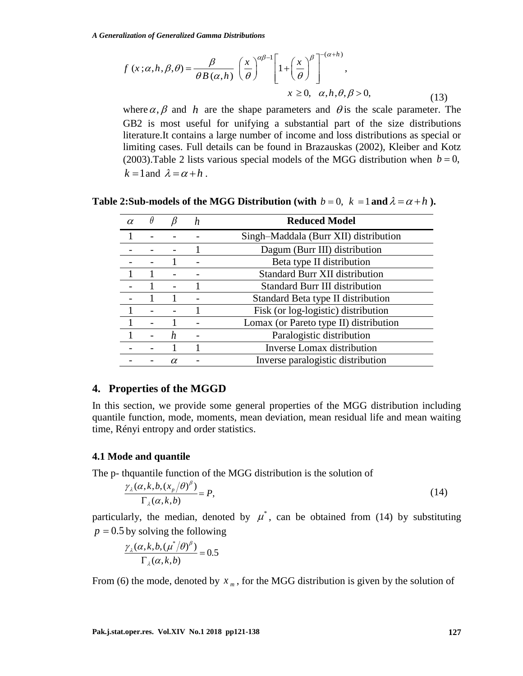$$
f(x;\alpha,h,\beta,\theta) = \frac{\beta}{\theta B(\alpha,h)} \left(\frac{x}{\theta}\right)^{\alpha\beta-1} \left[1+\left(\frac{x}{\theta}\right)^{\beta}\right]^{-(\alpha+h)},
$$
  
  $x \ge 0, \alpha, h, \theta, \beta > 0,$  (13)

where  $\alpha$ ,  $\beta$  and h are the shape parameters and  $\theta$  is the scale parameter. The GB2 is most useful for unifying a substantial part of the size distributions literature.It contains a large number of income and loss distributions as special or limiting cases. Full details can be found in Brazauskas (2002), Kleiber and Kotz (2003). Table 2 lists various special models of the MGG distribution when  $b = 0$ ,  $k = 1$  and  $\lambda = \alpha + h$ .

| $\alpha$ |    | n | <b>Reduced Model</b>                   |  |  |  |
|----------|----|---|----------------------------------------|--|--|--|
|          |    |   | Singh-Maddala (Burr XII) distribution  |  |  |  |
|          |    |   | Dagum (Burr III) distribution          |  |  |  |
|          |    |   | Beta type II distribution              |  |  |  |
|          |    |   | <b>Standard Burr XII distribution</b>  |  |  |  |
|          |    |   | <b>Standard Burr III distribution</b>  |  |  |  |
|          |    |   | Standard Beta type II distribution     |  |  |  |
|          |    |   | Fisk (or log-logistic) distribution    |  |  |  |
|          |    |   | Lomax (or Pareto type II) distribution |  |  |  |
|          | h. |   | Paralogistic distribution              |  |  |  |
|          |    |   | <b>Inverse Lomax distribution</b>      |  |  |  |
|          |    |   | Inverse paralogistic distribution      |  |  |  |

**Table 2:Sub-models of the MGG Distribution (with**  $b = 0$ **,**  $k = 1$  **and**  $\lambda = \alpha + h$ **).** 

# **4. Properties of the MGGD**

In this section, we provide some general properties of the MGG distribution including quantile function, mode, moments, mean deviation, mean residual life and mean waiting time, Rényi entropy and order statistics.

#### **4.1 Mode and quantile**

The p- thquantile function of the MGG distribution is the solution of

$$
\frac{\gamma_{\lambda}(\alpha, k, b, (x_p/\theta)^{\beta})}{\Gamma_{\lambda}(\alpha, k, b)} = P,\tag{14}
$$

particularly, the median, denoted by  $\mu^*$ , can be obtained from (14) by substituting  $p = 0.5$  by solving the following

$$
\frac{\gamma_{\lambda}(\alpha, k, b, (\mu^*/\theta)^{\beta})}{\Gamma_{\lambda}(\alpha, k, b)} = 0.5
$$

From (6) the mode, denoted by  $x_m$ , for the MGG distribution is given by the solution of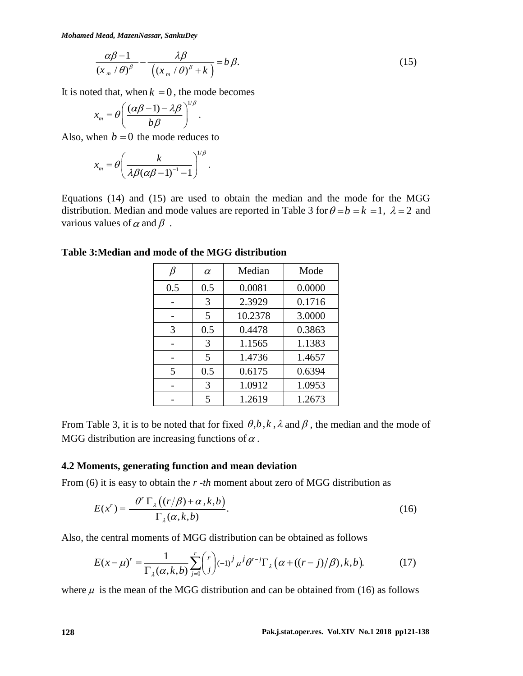*Mohamed Mead, MazenNassar, SankuDey*

$$
\frac{\alpha\beta-1}{\left(x_{m}/\theta\right)^{\beta}}-\frac{\lambda\beta}{\left(\left(x_{m}/\theta\right)^{\beta}+k\right)}=b\beta.
$$
\n(15)

It is noted that, when  $k = 0$ , the mode becomes

$$
x_m = \theta \left( \frac{(\alpha \beta - 1) - \lambda \beta}{b \beta} \right)^{1/\beta}.
$$

Also, when  $b = 0$  the mode reduces to

$$
x_m = \theta \left( \frac{k}{\lambda \beta (\alpha \beta - 1)^{-1} - 1} \right)^{1/\beta}.
$$

Equations (14) and (15) are used to obtain the median and the mode for the MGG distribution. Median and mode values are reported in Table 3 for  $\theta = b = k = 1$ ,  $\lambda = 2$  and various values of  $\alpha$  and  $\beta$ .

|                | $\alpha$ | Median  | Mode   |
|----------------|----------|---------|--------|
| 0.5            | 0.5      | 0.0081  | 0.0000 |
|                | 3        | 2.3929  | 0.1716 |
|                | 5        | 10.2378 | 3.0000 |
| 3              | 0.5      | 0.4478  | 0.3863 |
|                | 3        | 1.1565  | 1.1383 |
|                | 5        | 1.4736  | 1.4657 |
| $\overline{5}$ | 0.5      | 0.6175  | 0.6394 |
|                | 3        | 1.0912  | 1.0953 |
|                | 5        | 1.2619  | 1.2673 |

**Table 3:Median and mode of the MGG distribution**

From Table 3, it is to be noted that for fixed  $\theta$ , b, k,  $\lambda$  and  $\beta$ , the median and the mode of MGG distribution are increasing functions of  $\alpha$ .

#### **4.2 Moments, generating function and mean deviation**

From (6) it is easy to obtain the *r -th* moment about zero of MGG distribution as

$$
E(x^r) = \frac{\theta^r \Gamma_{\lambda}((r/\beta) + \alpha, k, b)}{\Gamma_{\lambda}(\alpha, k, b)}.
$$
 (16)

Also, the central moments of MGG distribution can be obtained as follows

$$
E(x - \mu)^r = \frac{1}{\Gamma_{\lambda}(\alpha, k, b)} \sum_{j=0}^r \binom{r}{j} (-1)^j \mu^j \theta^{r-j} \Gamma_{\lambda}(\alpha + ((r - j)/\beta), k, b).
$$
 (17)

where  $\mu$  is the mean of the MGG distribution and can be obtained from (16) as follows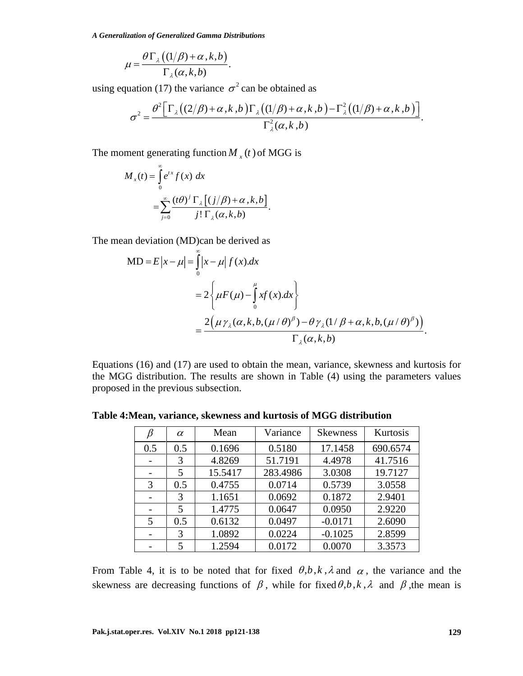$$
\mu = \frac{\theta \Gamma_{\lambda} \left( (1/\beta) + \alpha, k, b \right)}{\Gamma_{\lambda}(\alpha, k, b)}
$$

$$
\sigma^2 = \frac{\theta^2 \Big[ \Gamma_{\lambda} \big( (2/\beta) + \alpha, k, b \big) \Gamma_{\lambda} \big( (1/\beta) + \alpha, k, b \big) - \Gamma_{\lambda}^2 \big( (1/\beta) + \alpha, k, b \big) \Big]}{\Gamma_{\lambda}^2(\alpha, k, b)}.
$$

$$
M_{x}(t) = \int_{0}^{\infty} e^{tx} f(x) dx
$$
  
= 
$$
\sum_{j=0}^{\infty} \frac{(t\theta)^{j} \Gamma_{\lambda} [(j/\beta) + \alpha, k, b]}{j! \Gamma_{\lambda}(\alpha, k, b)}.
$$

in deviation (MD)can be derived as  
\n
$$
MD = E |x - \mu| = \int_{0}^{\infty} |x - \mu| f(x).dx
$$
\n
$$
= 2 \left\{ \mu F(\mu) - \int_{0}^{\mu} xf(x).dx \right\}
$$
\n
$$
= \frac{2(\mu \gamma_{\lambda}(\alpha, k, b, (\mu/\theta)^{\beta}) - \theta \gamma_{\lambda}(1/\beta + \alpha, k, b, (\mu/\theta)^{\beta}))}{\Gamma_{\lambda}(\alpha, k, b)}.
$$

|     |                                               |                                                                                                                                                                                                                                                               | using equation (17) the variance $\sigma^2$ can be obtained as |                     |                   |  |
|-----|-----------------------------------------------|---------------------------------------------------------------------------------------------------------------------------------------------------------------------------------------------------------------------------------------------------------------|----------------------------------------------------------------|---------------------|-------------------|--|
|     |                                               | $\sigma^2 = \frac{\theta^2 \left[ \Gamma_{\lambda} \left( (2/\beta) + \alpha, k, b \right) \Gamma_{\lambda} \left( (1/\beta) + \alpha, k, b \right) - \Gamma_{\lambda}^2 \left( (1/\beta) + \alpha, k, b \right) \right]}{\Gamma_{\lambda}^2(\alpha, k, b)}.$ |                                                                |                     |                   |  |
|     |                                               |                                                                                                                                                                                                                                                               |                                                                |                     |                   |  |
|     |                                               | The moment generating function $M_{x}(t)$ of MGG is                                                                                                                                                                                                           |                                                                |                     |                   |  |
|     | $M_{x}(t) = \int_{0}^{\infty} e^{tx} f(x) dx$ |                                                                                                                                                                                                                                                               |                                                                |                     |                   |  |
|     |                                               |                                                                                                                                                                                                                                                               |                                                                |                     |                   |  |
|     |                                               | $=\sum_{i=0}^{\infty}\frac{(t\theta)^{j}\Gamma_{\lambda}[(j/\beta)+\alpha,k,b]}{i!\,\Gamma_{\lambda}(\alpha,k,b)}.$                                                                                                                                           |                                                                |                     |                   |  |
|     |                                               |                                                                                                                                                                                                                                                               |                                                                |                     |                   |  |
|     |                                               | The mean deviation (MD) can be derived as                                                                                                                                                                                                                     |                                                                |                     |                   |  |
|     |                                               | MD = $E x - \mu  = \int_{0}^{\infty}  x - \mu  f(x) dx$                                                                                                                                                                                                       |                                                                |                     |                   |  |
|     |                                               |                                                                                                                                                                                                                                                               |                                                                |                     |                   |  |
|     |                                               | $=2\left\{\mu F(\mu)-\int\limits_{0}^{\mu}xf(x)dx\right\}$                                                                                                                                                                                                    |                                                                |                     |                   |  |
|     |                                               |                                                                                                                                                                                                                                                               |                                                                |                     |                   |  |
|     |                                               |                                                                                                                                                                                                                                                               |                                                                |                     |                   |  |
|     |                                               |                                                                                                                                                                                                                                                               |                                                                |                     |                   |  |
|     |                                               |                                                                                                                                                                                                                                                               |                                                                |                     |                   |  |
|     |                                               | $=\frac{2(\mu\gamma_{\lambda}(\alpha,k,b,(\mu/\theta)^{\beta})-\theta\gamma_{\lambda}(1/\beta+\alpha,k,b,(\mu/\theta)^{\beta}))}{\Gamma_{\lambda}(\alpha,k,b)}.$                                                                                              |                                                                |                     |                   |  |
|     |                                               | Equations (16) and (17) are used to obtain the mean, variance, skewness and kurtosis for<br>the MGG distribution. The results are shown in Table (4) using the parameters values<br>proposed in the previous subsection.                                      |                                                                |                     |                   |  |
|     |                                               | Table 4: Mean, variance, skewness and kurtosis of MGG distribution                                                                                                                                                                                            |                                                                |                     |                   |  |
|     |                                               | $\beta$   $\alpha$   Mean                                                                                                                                                                                                                                     |                                                                | Variance   Skewness | Kurtosis          |  |
| 0.5 | 0.5                                           | 0.1696                                                                                                                                                                                                                                                        | 0.5180                                                         | 17.1458             | 690.6574          |  |
|     | 3<br>5                                        | 4.8269<br>15.5417                                                                                                                                                                                                                                             | 51.7191<br>283.4986                                            | 4.4978<br>3.0308    | 41.7516           |  |
| 3   | 0.5                                           | 0.4755                                                                                                                                                                                                                                                        | 0.0714                                                         | 0.5739              | 19.7127<br>3.0558 |  |
|     | 3                                             | 1.1651                                                                                                                                                                                                                                                        | 0.0692                                                         | 0.1872              | 2.9401            |  |
|     | 5                                             | 1.4775                                                                                                                                                                                                                                                        | 0.0647                                                         | 0.0950              | 2.9220            |  |
| 5   | 0.5                                           | 0.6132                                                                                                                                                                                                                                                        | 0.0497                                                         | $-0.0171$           | 2.6090            |  |
|     | 3                                             | 1.0892                                                                                                                                                                                                                                                        | 0.0224                                                         | $-0.1025$           | 2.8599            |  |

**Table 4:Mean, variance, skewness and kurtosis of MGG distribution**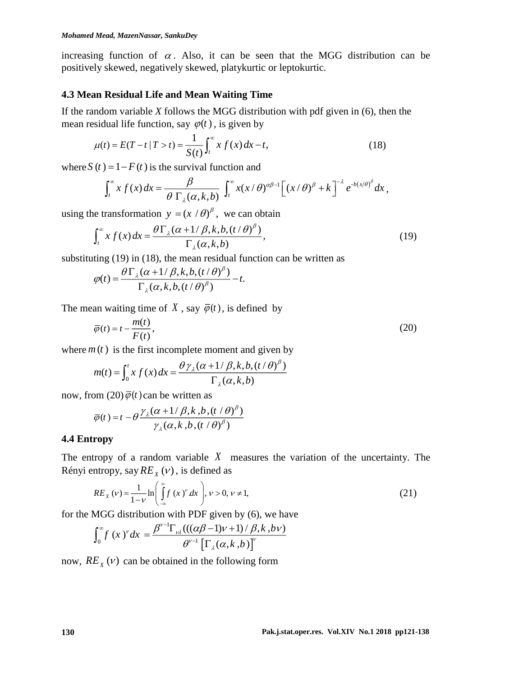increasing function of  $\alpha$ . Also, it can be seen that the MGG distribution can be positively skewed, negatively skewed, platykurtic or leptokurtic.

## **4.3 Mean Residual Life and Mean Waiting Time**

If the random variable *X* follows the MGG distribution with pdf given in (6), then the mean residual life function, say  $\varphi(t)$ , is given by

$$
\mu(t) = E(T - t | T > t) = \frac{1}{S(t)} \int_{t}^{\infty} x f(x) dx - t,
$$
\n(18)

where  $S(t) = 1 - F(t)$  is the survival function and

$$
\int_t^\infty x f(x) dx = \frac{\beta}{\theta \Gamma_\lambda(\alpha, k, b)} \int_t^\infty x(x/\theta)^{\alpha \beta - 1} \Big[ (x/\theta)^{\beta} + k \Big]^{-\lambda} e^{-b(x/\theta)^{\beta}} dx,
$$

using the transformation  $y = (x / \theta)^{\beta}$ , we can obtain

$$
\int_{t}^{\infty} x f(x) dx = \frac{\theta \Gamma_{\lambda}(\alpha + 1/\beta, k, b, (t/\theta)^{\beta})}{\Gamma_{\lambda}(\alpha, k, b)},
$$
\n(19)

substituting (19) in (18), the mean residual function can be written as

$$
\varphi(t) = \frac{\theta \Gamma_{\lambda}(\alpha + 1/\beta, k, b, (t/\theta)^{\beta})}{\Gamma_{\lambda}(\alpha, k, b, (t/\theta)^{\beta})} - t.
$$

The mean waiting time of X, say  $\overline{\varphi}(t)$ , is defined by

$$
\overline{\varphi}(t) = t - \frac{m(t)}{F(t)},\tag{20}
$$

where  $m(t)$  is the first incomplete moment and given by

$$
m(t) = \int_0^t x f(x) dx = \frac{\theta \gamma_\lambda (\alpha + 1/\beta, k, b, (t/\theta)^\beta)}{\Gamma_\lambda (\alpha, k, b)}
$$

now, from  $(20) \overline{\varphi}(t)$  can be written as

$$
\overline{\varphi}(t) = t - \theta \frac{\gamma_{\lambda}(\alpha + 1/\beta, k, b, (t/\theta)^{\beta})}{\gamma_{\lambda}(\alpha, k, b, (t/\theta)^{\beta})}
$$

## **4.4 Entropy**

The entropy of a random variable  $X$  measures the variation of the uncertainty. The Rényi entropy, say  $RE_X(v)$ , is defined as

$$
RE_{X}(v) = \frac{1}{1 - v} \ln \left( \int_{-\infty}^{\infty} f(x)^{v} dx \right), v > 0, v \neq 1,
$$
 (21)

for the MGG distribution with PDF given by (6), we have

$$
\int_0^{\infty} f(x)^{\nu} dx = \frac{\beta^{\nu-1} \Gamma_{\nu\lambda}(((\alpha\beta-1)\nu+1)/\beta, k, b\nu)}{\theta^{\nu-1} [\Gamma_{\lambda}(\alpha, k, b)]^{\nu}}
$$

now,  $RE_X(v)$  can be obtained in the following form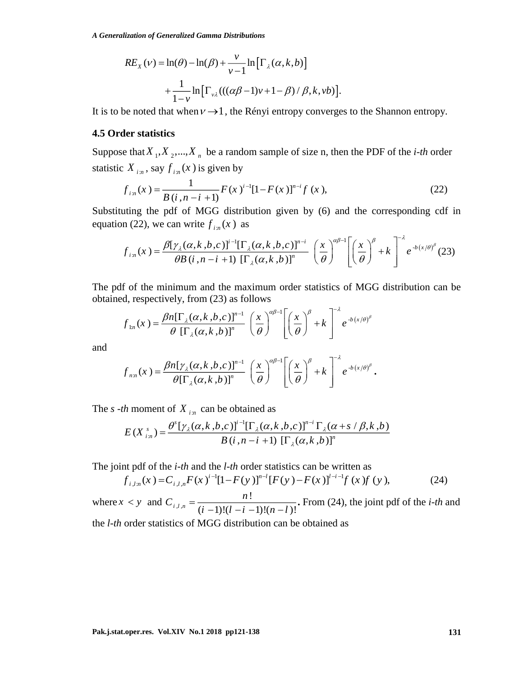$$
RE_{X}(v) = \ln(\theta) - \ln(\beta) + \frac{v}{v-1} \ln \left[ \Gamma_{\lambda}(\alpha, k, b) \right]
$$

$$
+ \frac{1}{1-v} \ln \left[ \Gamma_{\nu\lambda}(((\alpha\beta - 1)v + 1 - \beta) / \beta, k, vb) \right].
$$

It is to be noted that when  $v \rightarrow 1$ , the Rényi entropy converges to the Shannon entropy.

#### **4.5 Order statistics**

Suppose that  $X_1, X_2, ..., X_n$  be a random sample of size n, then the PDF of the *i-th* order statistic  $X_{i,n}$ , say  $f_{i,n}(x)$  is given by

$$
f_{i:n}(x) = \frac{1}{B(i, n-i+1)} F(x)^{i-1} [1 - F(x)]^{n-i} f(x), \qquad (22)
$$

Substituting the pdf of MGG distribution given by (6) and the corresponding cdf in equation (22), we can write  $f_{i,n}(x)$  as

$$
f_{i:n}(x) = \frac{\beta[\gamma_{\lambda}(\alpha, k, b, c)]^{i-1}[\Gamma_{\lambda}(\alpha, k, b, c)]^{n-i}}{\theta B(i, n-i+1) [\Gamma_{\lambda}(\alpha, k, b)]^{n}} \left(\frac{x}{\theta}\right)^{\alpha\beta-1} \left[\left(\frac{x}{\theta}\right)^{\beta} + k\right]^{-\lambda} e^{-b(x/\theta)^{\beta}} (23)
$$

The pdf of the minimum and the maximum order statistics of MGG distribution can be obtained, respectively, from (23) as follows

$$
f_{1n}(x) = \frac{\beta n [\Gamma_{\lambda}(\alpha, k, b, c)]^{n-1}}{\theta [\Gamma_{\lambda}(\alpha, k, b)]^{n}} \left(\frac{x}{\theta}\right)^{\alpha \beta-1} \left[\left(\frac{x}{\theta}\right)^{\beta} + k\right]^{-\lambda} e^{-b(x/\theta)^{\beta}}
$$

and

$$
f_{n:n}(x) = \frac{\beta n[\gamma_{\lambda}(\alpha, k, b, c)]^{n-1}}{\theta[\Gamma_{\lambda}(\alpha, k, b)]^{n}} \left(\frac{x}{\theta}\right)^{\alpha\beta-1} \left[\left(\frac{x}{\theta}\right)^{\beta} + k\right]^{-\lambda} e^{-b(x/\theta)^{\beta}}.
$$

The *s* -*th* moment of  $X_{i:n}$  can be obtained as

$$
E(X_{i:n}^{s}) = \frac{\theta^{s}[\gamma_{\lambda}(\alpha, k, b, c)]^{i-1}[\Gamma_{\lambda}(\alpha, k, b, c)]^{n-i} \Gamma_{\lambda}(\alpha+s/\beta, k, b)}{B(i, n-i+1) [\Gamma_{\lambda}(\alpha, k, b)]^{n}}
$$

The joint pdf of the *i-th* and the *l-th* order statistics can be written as

$$
f_{i,l,n}(x) = C_{i,l,n} F(x)^{i-l} [1 - F(y)]^{n-l} [F(y) - F(x)]^{l-i-l} f(x) f(y), \qquad (24)
$$

RE, (v) =  $\ln(\beta) \ln(\beta) + \frac{1}{v-1} \ln[\Gamma_a(\alpha, k, b)]$ <br>  $+ \frac{1}{1+v} \ln[\Gamma_a((\alpha\beta-1)v+1-\beta)/\beta, k, i\phi)].$ <br> **It is to be noted that when**  $v \rightarrow 1$ , the Rényi entropy converges to the Shannon entropy.<br> **4.5 Order statstics**<br> **4.5 Order statstics** where  $x < y$  and  $C_{i,l}$ , !  $(i^{l},l,n)$   $(i-1)!(l-i-1)!(n-l)!$  $C_{\text{max}} = \frac{n}{2}$  $=\frac{n!}{(i-1)!(i-i-1)!(n-l)!}$ . From (24), the joint pdf of the *i-th* and the *l-th* order statistics of MGG distribution can be obtained as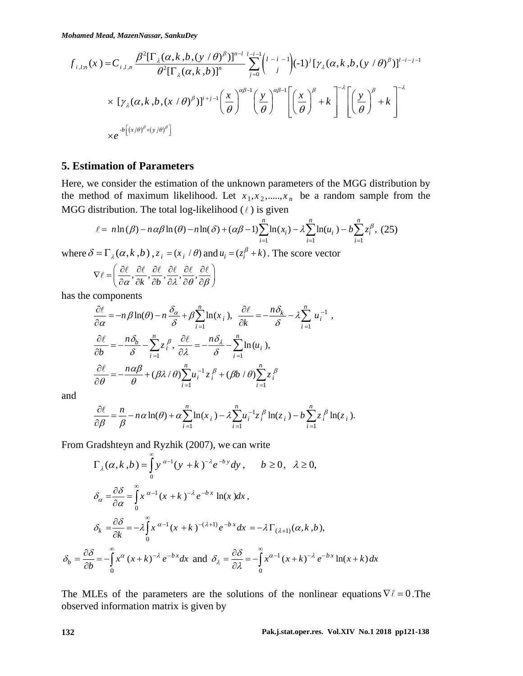$$
f_{i,l,n}(x) = C_{i,l,n} \frac{\beta^2 [\Gamma_\lambda(\alpha, k, b, (y/\theta)^{\beta})]^{n-l}}{\theta^2 [\Gamma_\lambda(\alpha, k, b)]^n} \sum_{j=0}^{l-i-1} {l-i-1 \choose j} (-1)^j [\gamma_\lambda(\alpha, k, b, (y/\theta)^{\beta})]^{l-i-j-1}
$$
  
×  $[\gamma_\lambda(\alpha, k, b, (x/\theta)^{\beta})]^{i+j-1} (\frac{x}{\theta})^{\alpha\beta-1} (\frac{y}{\theta})^{\alpha\beta-1} [\frac{x}{\theta}]^{\beta} + k]^{\alpha-1} [\frac{x}{\theta}]^{\beta} + k^{\alpha-1} [\frac{x}{\theta}]^{\beta} + k^{\alpha-1} [\frac{x}{\theta}]^{\beta}$   
×  $e^{-b[(x/\theta)^{\beta} + (y/\theta)^{\beta}]}$ 

## **5. Estimation of Parameters**

Here, we consider the estimation of the unknown parameters of the MGG distribution by the method of maximum likelihood. Let  $x_1, x_2, \dots, x_n$  be a random sample from the MGG distribution. The total log-likelihood  $(\ell)$  is given

$$
\ell = n \ln(\beta) - n \alpha \beta \ln(\theta) - n \ln(\delta) + (\alpha \beta - 1) \sum_{i=1}^{n} \ln(x_i) - \lambda \sum_{i=1}^{n} \ln(u_i) - b \sum_{i=1}^{n} z_i^{\beta}, (25)
$$

where  $\delta = \Gamma_{\lambda}(\alpha, k, b)$ ,  $z_i = (x_i / \theta)$  and  $u_i = (z_i^{\beta} + k)$ . The score vector

$$
\nabla \ell = \left( \frac{\partial \ell}{\partial \alpha}, \frac{\partial \ell}{\partial k}, \frac{\partial \ell}{\partial b}, \frac{\partial \ell}{\partial \lambda}, \frac{\partial \ell}{\partial \theta}, \frac{\partial \ell}{\partial \beta} \right)
$$

has the components

$$
\frac{\partial \ell}{\partial \alpha} = -n\beta \ln(\theta) - n \frac{\delta_{\alpha}}{\delta} + \beta \sum_{i=1}^{n} \ln(x_i), \quad \frac{\partial \ell}{\partial k} = -\frac{n\delta_{k}}{\delta} - \lambda \sum_{i=1}^{n} u_i^{-1},
$$

$$
\frac{\partial \ell}{\partial b} = -\frac{n\delta_{b}}{\delta} - \sum_{i=1}^{n} z_i^{\beta}, \quad \frac{\partial \ell}{\partial \lambda} = -\frac{n\delta_{\lambda}}{\delta} - \sum_{i=1}^{n} \ln(u_i),
$$

$$
\frac{\partial \ell}{\partial \theta} = -\frac{n\alpha\beta}{\theta} + (\beta\lambda/\theta) \sum_{i=1}^{n} u_i^{-1} z_i^{\beta} + (\beta b/\theta) \sum_{i=1}^{n} z_i^{\beta}
$$

and

L,

$$
\frac{\partial \ell}{\partial \beta} = \frac{n}{\beta} - n\alpha \ln(\theta) + \alpha \sum_{i=1}^{n} \ln(x_i) - \lambda \sum_{i=1}^{n} u_i^{-1} z_i^{\beta} \ln(z_i) - b \sum_{i=1}^{n} z_i^{\beta} \ln(z_i).
$$

From Gradshteyn and Ryzhik (2007), we can write

$$
\Gamma_{\lambda}(\alpha, k, b) = \int_{0}^{\infty} y^{\alpha-1} (y + k)^{-\lambda} e^{-by} dy, \quad b \ge 0, \quad \lambda \ge 0,
$$
  

$$
\delta_{\alpha} = \frac{\partial \delta}{\partial \alpha} = \int_{0}^{\infty} x^{\alpha-1} (x + k)^{-\lambda} e^{-bx} \ln(x) dx,
$$
  

$$
\delta_{k} = \frac{\partial \delta}{\partial k} = -\lambda \int_{0}^{\infty} x^{\alpha-1} (x + k)^{-(\lambda+1)} e^{-bx} dx = -\lambda \Gamma_{(\lambda+1)}(\alpha, k, b),
$$
  

$$
\delta_{b} = \frac{\partial \delta}{\partial b} = -\int_{0}^{\infty} x^{\alpha} (x + k)^{-\lambda} e^{-bx} dx \text{ and } \delta_{\lambda} = \frac{\partial \delta}{\partial \lambda} = -\int_{0}^{\infty} x^{\alpha-1} (x + k)^{-\lambda} e^{-bx} \ln(x + k) dx
$$

The MLEs of the parameters are the solutions of the nonlinear equations  $\nabla \ell = 0$ . The observed information matrix is given by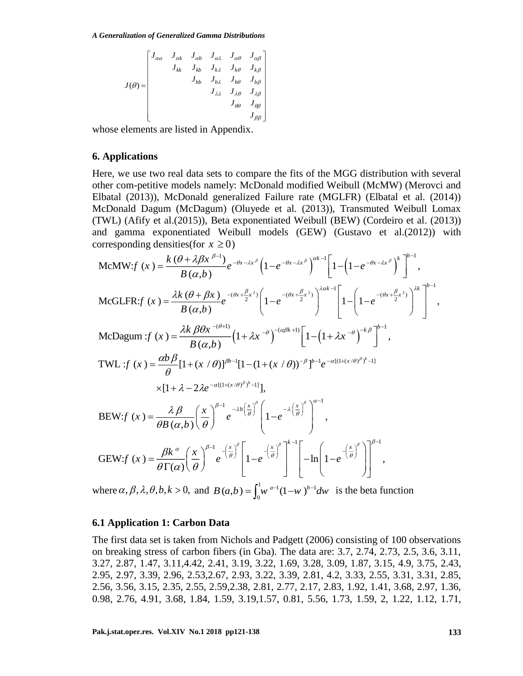$$
J(\theta) = \begin{bmatrix} J_{\alpha\alpha} & J_{\alpha k} & J_{\alpha b} & J_{\alpha \lambda} & J_{\alpha \theta} & J_{\alpha \beta} \\ & J_{kk} & J_{kb} & J_{k \lambda} & J_{k \theta} & J_{k \beta} \\ & & J_{bb} & J_{b \lambda} & J_{b \theta} & J_{b \beta} \\ & & & J_{\lambda \lambda} & J_{\lambda \theta} & J_{\lambda \beta} \\ & & & & J_{\theta \theta} & J_{\theta \beta} \\ & & & & & J_{\theta \beta} \end{bmatrix}
$$

whose elements are listed in Appendix.

#### **6. Applications**

Here, we use two real data sets to compare the fits of the MGG distribution with several other com-petitive models namely: McDonald modified Weibull (McMW) (Merovci and Elbatal (2013)), McDonald generalized Failure rate (MGLFR) (Elbatal et al. (2014)) McDonald Dagum (McDagum) (Oluyede et al. (2013)), Transmuted Weibull Lomax (TWL) (Afify et al.(2015)), Beta exponentiated Weibull (BEW) (Cordeiro et al. (2013)) and gamma exponentiated Weibull models (GEW) (Gustavo et al.(2012)) with corresponding densities(for  $x \ge 0$ )

$$
\begin{split}\n\text{McMW:}f (x) &= \frac{k(\theta + \lambda \beta x^{\beta-1})}{B(\alpha, b)} e^{-\theta x - \lambda x^{\beta}} \left( 1 - e^{-\theta x - \lambda x^{\beta}} \right)^{\alpha k-1} \left[ 1 - \left( 1 - e^{-\theta x - \lambda x^{\beta}} \right)^{k} \right]^{b-1}, \\
\text{McGLFR:}f (x) &= \frac{\lambda k(\theta + \beta x)}{B(\alpha, b)} e^{-(\theta x + \frac{\beta}{2}x^{2})} \left( 1 - e^{-(\theta x + \frac{\beta}{2}x^{2})} \right)^{\lambda \alpha k-1} \left[ 1 - \left( 1 - e^{-(\theta x + \frac{\beta}{2}x^{2})} \right)^{\lambda k} \right]^{b-1}, \\
\text{McDagum:}f (x) &= \frac{\lambda k \beta \theta x^{-(\theta+1)}}{B(\alpha, b)} \left( 1 + \lambda x^{-\theta} \right)^{-(\alpha \beta k+1)} \left[ 1 - \left( 1 + \lambda x^{-\theta} \right)^{-k\beta} \right]^{b-1}, \\
\text{TWL:}f (x) &= \frac{\alpha b \beta}{\theta} [1 + (x/\theta)]^{\beta b-1} [1 - (1 + (x/\theta))^{-\beta}]^{b-1} e^{-\alpha [(1 + (x/\theta)^{\beta})^{b} - 1]} \\
&\times [1 + \lambda - 2\lambda e^{-\alpha [(1 + (x/\theta)^{\beta})^{b} - 1]}], \\
\text{BEW:}f (x) &= \frac{\lambda \beta}{\theta B(\alpha, b)} \left( \frac{x}{\theta} \right)^{\beta - 1} e^{-\lambda b \left( \frac{x}{\theta} \right)^{\beta}} \left[ 1 - e^{-\lambda \left( \frac{x}{\theta} \right)^{\beta}} \right]^{\alpha - 1}, \\
\text{GEW:}f (x) &= \frac{\beta k^{\alpha}}{\theta \Gamma(\alpha)} \left( \frac{x}{\theta} \right)^{\beta - 1} e^{-\left( \frac{x}{\theta} \right)^{\beta}} \left[ 1 - e^{-\left( \frac{x}{\theta} \right)^{\beta}} \right]^{b-1} \left[ -\ln \left( 1 - e^{-\left( \frac{x}{\theta} \right)^{\beta}} \right) \right]^{b-1}, \\
\text{GEW:}f (x) &= \frac{\beta k^{\alpha}}{\
$$

where  $\alpha$ ,  $\beta$ ,  $\lambda$ ,  $\theta$ ,  $b$ ,  $k > 0$ , and  $B(a,b) = \int_{0}^{1} w^{a-1} (1-w)^{b-1}$  $B(a,b) = \int_0^1 w^{a-1} (1-w)^{b-1} dw$  is the beta function

#### **6.1 Application 1: Carbon Data**

The first data set is taken from Nichols and Padgett (2006) consisting of 100 observations on breaking stress of carbon fibers (in Gba). The data are: 3.7, 2.74, 2.73, 2.5, 3.6, 3.11, 3.27, 2.87, 1.47, 3.11,4.42, 2.41, 3.19, 3.22, 1.69, 3.28, 3.09, 1.87, 3.15, 4.9, 3.75, 2.43, 2.95, 2.97, 3.39, 2.96, 2.53,2.67, 2.93, 3.22, 3.39, 2.81, 4.2, 3.33, 2.55, 3.31, 3.31, 2.85, 2.56, 3.56, 3.15, 2.35, 2.55, 2.59,2.38, 2.81, 2.77, 2.17, 2.83, 1.92, 1.41, 3.68, 2.97, 1.36, 0.98, 2.76, 4.91, 3.68, 1.84, 1.59, 3.19,1.57, 0.81, 5.56, 1.73, 1.59, 2, 1.22, 1.12, 1.71,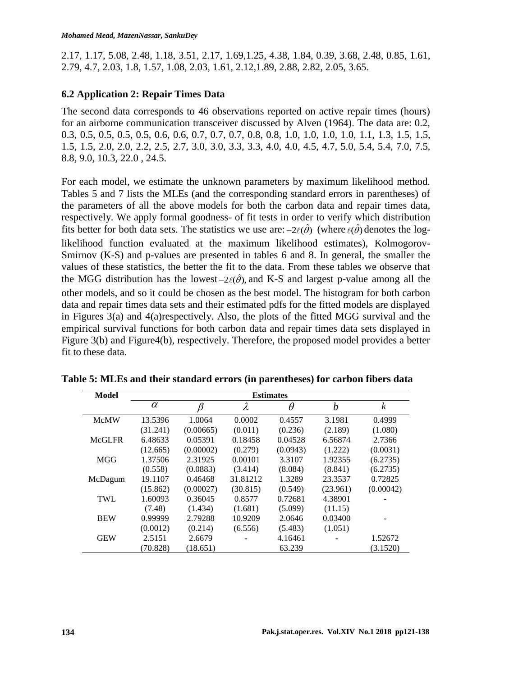2.17, 1.17, 5.08, 2.48, 1.18, 3.51, 2.17, 1.69,1.25, 4.38, 1.84, 0.39, 3.68, 2.48, 0.85, 1.61, 2.79, 4.7, 2.03, 1.8, 1.57, 1.08, 2.03, 1.61, 2.12,1.89, 2.88, 2.82, 2.05, 3.65.

## **6.2 Application 2: Repair Times Data**

The second data corresponds to 46 observations reported on active repair times (hours) for an airborne communication transceiver discussed by Alven (1964). The data are: 0.2, 0.3, 0.5, 0.5, 0.5, 0.5, 0.6, 0.6, 0.7, 0.7, 0.7, 0.8, 0.8, 1.0, 1.0, 1.0, 1.0, 1.1, 1.3, 1.5, 1.5, 1.5, 1.5, 2.0, 2.0, 2.2, 2.5, 2.7, 3.0, 3.0, 3.3, 3.3, 4.0, 4.0, 4.5, 4.7, 5.0, 5.4, 5.4, 7.0, 7.5, 8.8, 9.0, 10.3, 22.0 , 24.5.

For each model, we estimate the unknown parameters by maximum likelihood method. Tables 5 and 7 lists the MLEs (and the corresponding standard errors in parentheses) of the parameters of all the above models for both the carbon data and repair times data, respectively. We apply formal goodness- of fit tests in order to verify which distribution fits better for both data sets. The statistics we use are:  $-2\ell(\hat{\theta})$  (where  $\ell(\hat{\theta})$  denotes the loglikelihood function evaluated at the maximum likelihood estimates), Kolmogorov-Smirnov (K-S) and p-values are presented in tables 6 and 8. In general, the smaller the values of these statistics, the better the fit to the data. From these tables we observe that the MGG distribution has the lowest  $-2\ell(\hat{\theta})$ , and K-S and largest p-value among all the other models, and so it could be chosen as the best model. The histogram for both carbon data and repair times data sets and their estimated pdfs for the fitted models are displayed in Figures 3(a) and 4(a)respectively. Also, the plots of the fitted MGG survival and the empirical survival functions for both carbon data and repair times data sets displayed in Figure 3(b) and Figure4(b), respectively. Therefore, the proposed model provides a better fit to these data.

| <b>Model</b>  |          | <b>Estimates</b> |           |          |          |           |  |  |  |  |
|---------------|----------|------------------|-----------|----------|----------|-----------|--|--|--|--|
|               | $\alpha$ | β                | $\lambda$ | $\theta$ | b        | k         |  |  |  |  |
| <b>McMW</b>   | 13.5396  | 1.0064           | 0.0002    | 0.4557   | 3.1981   | 0.4999    |  |  |  |  |
|               | (31.241) | (0.00665)        | (0.011)   | (0.236)  | (2.189)  | (1.080)   |  |  |  |  |
| <b>McGLFR</b> | 6.48633  | 0.05391          | 0.18458   | 0.04528  | 6.56874  | 2.7366    |  |  |  |  |
|               | (12.665) | (0.00002)        | (0.279)   | (0.0943) | (1.222)  | (0.0031)  |  |  |  |  |
| <b>MGG</b>    | 1.37506  | 2.31925          | 0.00101   | 3.3107   | 1.92355  | (6.2735)  |  |  |  |  |
|               | (0.558)  | (0.0883)         | (3.414)   | (8.084)  | (8.841)  | (6.2735)  |  |  |  |  |
| McDagum       | 19.1107  | 0.46468          | 31.81212  | 1.3289   | 23.3537  | 0.72825   |  |  |  |  |
|               | (15.862) | (0.00027)        | (30.815)  | (0.549)  | (23.961) | (0.00042) |  |  |  |  |
| <b>TWL</b>    | 1.60093  | 0.36045          | 0.8577    | 0.72681  | 4.38901  |           |  |  |  |  |
|               | (7.48)   | (1.434)          | (1.681)   | (5.099)  | (11.15)  |           |  |  |  |  |
| <b>BEW</b>    | 0.99999  | 2.79288          | 10.9209   | 2.0646   | 0.03400  |           |  |  |  |  |
|               | (0.0012) | (0.214)          | (6.556)   | (5.483)  | (1.051)  |           |  |  |  |  |
| <b>GEW</b>    | 2.5151   | 2.6679           |           | 4.16461  |          | 1.52672   |  |  |  |  |
|               | (70.828) | (18.651)         |           | 63.239   |          | (3.1520)  |  |  |  |  |

**Table 5: MLEs and their standard errors (in parentheses) for carbon fibers data**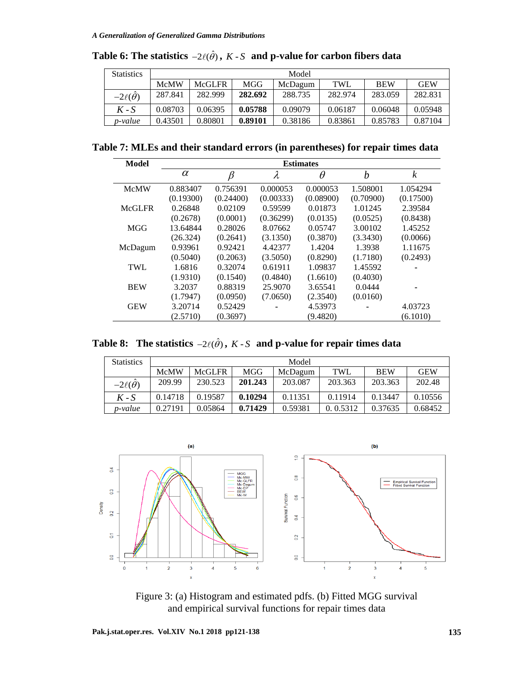| <b>Statistics</b> | Model       |               |         |         |            |            |            |  |  |
|-------------------|-------------|---------------|---------|---------|------------|------------|------------|--|--|
|                   | <b>McMW</b> | <b>McGLFR</b> | MGG     | McDagum | <b>TWL</b> | <b>BEW</b> | <b>GEW</b> |  |  |
| $-2\ell(\theta)$  | 287.841     | 282.999       | 282.692 | 288.735 | 282.974    | 283.059    | 282.831    |  |  |
| $K-S$             | 0.08703     | 0.06395       | 0.05788 | 0.09079 | 0.06187    | 0.06048    | 0.05948    |  |  |
| p-value           | 0.43501     | 0.80801       | 0.89101 | 0.38186 | 0.83861    | 0.85783    | 0.87104    |  |  |

**Table 6: The statistics**  $-2\ell(\hat{\theta})$  ,  $K$  -  $S$  and p-value for carbon fibers data

**Table 7: MLEs and their standard errors (in parentheses) for repair times data**

| Model         | <b>Estimates</b> |           |           |           |           |                  |  |  |  |
|---------------|------------------|-----------|-----------|-----------|-----------|------------------|--|--|--|
|               | $\alpha$         | β         | λ         | $\theta$  | b         | $\boldsymbol{k}$ |  |  |  |
| <b>McMW</b>   | 0.883407         | 0.756391  | 0.000053  | 0.000053  | 1.508001  | 1.054294         |  |  |  |
|               | (0.19300)        | (0.24400) | (0.00333) | (0.08900) | (0.70900) | (0.17500)        |  |  |  |
| <b>McGLFR</b> | 0.26848          | 0.02109   | 0.59599   | 0.01873   | 1.01245   | 2.39584          |  |  |  |
|               | (0.2678)         | (0.0001)  | (0.36299) | (0.0135)  | (0.0525)  | (0.8438)         |  |  |  |
| <b>MGG</b>    | 13.64844         | 0.28026   | 8.07662   | 0.05747   | 3.00102   | 1.45252          |  |  |  |
|               | (26.324)         | (0.2641)  | (3.1350)  | (0.3870)  | (3.3430)  | (0.0066)         |  |  |  |
| McDagum       | 0.93961          | 0.92421   | 4.42377   | 1.4204    | 1.3938    | 1.11675          |  |  |  |
|               | (0.5040)         | (0.2063)  | (3.5050)  | (0.8290)  | (1.7180)  | (0.2493)         |  |  |  |
| <b>TWL</b>    | 1.6816           | 0.32074   | 0.61911   | 1.09837   | 1.45592   |                  |  |  |  |
|               | (1.9310)         | (0.1540)  | (0.4840)  | (1.6610)  | (0.4030)  |                  |  |  |  |
| <b>BEW</b>    | 3.2037           | 0.88319   | 25.9070   | 3.65541   | 0.0444    |                  |  |  |  |
|               | (1.7947)         | (0.0950)  | (7.0650)  | (2.3540)  | (0.0160)  |                  |  |  |  |
| <b>GEW</b>    | 3.20714          | 0.52429   |           | 4.53973   |           | 4.03723          |  |  |  |
|               | (2.5710)         | (0.3697)  |           | (9.4820)  |           | (6.1010)         |  |  |  |

**Table 8:** The statistics  $-2\ell(\hat{\theta})$ ,  $K \cdot S$  and p-value for repair times data

| <b>Statistics</b> | Model       |               |         |         |            |            |            |  |  |
|-------------------|-------------|---------------|---------|---------|------------|------------|------------|--|--|
|                   | <b>McMW</b> | <b>McGLFR</b> | MGG     | McDagum | <b>TWL</b> | <b>BEW</b> | <b>GEW</b> |  |  |
| $-2\ell(\theta)$  | 209.99      | 230.523       | 201.243 | 203.087 | 203.363    | 203.363    | 202.48     |  |  |
| $K-S$             | 0.14718     | 0.19587       | 0.10294 | 0.11351 | 0.11914    | 0.13447    | 0.10556    |  |  |
| p-value           | 0.27191     | 0.05864       | 0.71429 | 0.59381 | 0.0.5312   | 0.37635    | 0.68452    |  |  |



Figure 3: (a) Histogram and estimated pdfs. (b) Fitted MGG survival and empirical survival functions for repair times data

**Pak.j.stat.oper.res. Vol.XIV No.1 2018 pp121-138 135**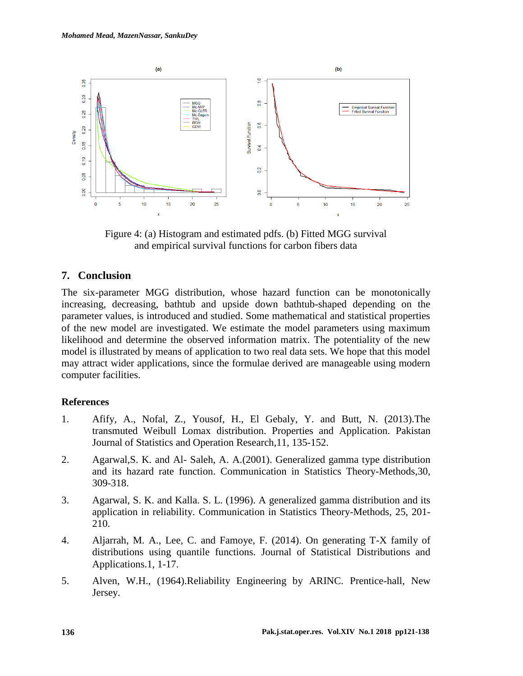

Figure 4: (a) Histogram and estimated pdfs. (b) Fitted MGG survival and empirical survival functions for carbon fibers data

# **7. Conclusion**

The six-parameter MGG distribution, whose hazard function can be monotonically increasing, decreasing, bathtub and upside down bathtub-shaped depending on the parameter values, is introduced and studied. Some mathematical and statistical properties of the new model are investigated. We estimate the model parameters using maximum likelihood and determine the observed information matrix. The potentiality of the new model is illustrated by means of application to two real data sets. We hope that this model may attract wider applications, since the formulae derived are manageable using modern computer facilities.

# **References**

- 1. Afify, A., Nofal, Z., Yousof, H., El Gebaly, Y. and Butt, N. (2013).The transmuted Weibull Lomax distribution. Properties and Application. Pakistan Journal of Statistics and Operation Research,11, 135-152.
- 2. Agarwal,S. K. and Al- Saleh, A. A.(2001). Generalized gamma type distribution and its hazard rate function. Communication in Statistics Theory-Methods,30, 309-318.
- 3. Agarwal, S. K. and Kalla. S. L. (1996). A generalized gamma distribution and its application in reliability. Communication in Statistics Theory-Methods, 25, 201- 210.
- 4. Aljarrah, M. A., Lee, C. and Famoye, F. (2014). On generating T-X family of distributions using quantile functions. Journal of Statistical Distributions and Applications.1, 1-17.
- 5. Alven, W.H., (1964).Reliability Engineering by ARINC. Prentice-hall, New Jersey.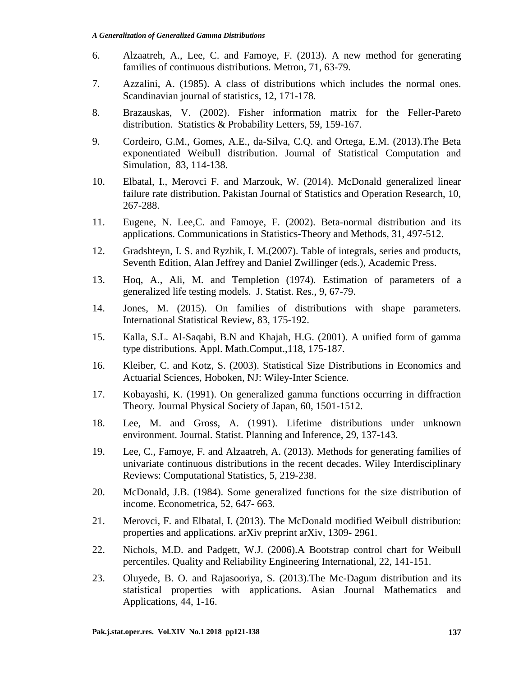- 6. Alzaatreh, A., Lee, C. and Famoye, F. (2013). A new method for generating families of continuous distributions. Metron, 71, 63-79.
- 7. Azzalini, A. (1985). A class of distributions which includes the normal ones. Scandinavian journal of statistics, 12, 171-178.
- 8. Brazauskas, V. (2002). Fisher information matrix for the Feller-Pareto distribution. Statistics & Probability Letters, 59, 159-167.
- 9. Cordeiro, G.M., Gomes, A.E., da-Silva, C.Q. and Ortega, E.M. (2013).The Beta exponentiated Weibull distribution. Journal of Statistical Computation and Simulation, 83, 114-138.
- 10. Elbatal, I., Merovci F. and Marzouk, W. (2014). McDonald generalized linear failure rate distribution. Pakistan Journal of Statistics and Operation Research, 10, 267-288.
- 11. Eugene, N. Lee,C. and Famoye, F. (2002). Beta-normal distribution and its applications. Communications in Statistics-Theory and Methods, 31, 497-512.
- 12. Gradshteyn, I. S. and Ryzhik, I. M.(2007). Table of integrals, series and products, Seventh Edition, Alan Jeffrey and Daniel Zwillinger (eds.), Academic Press.
- 13. Hoq, A., Ali, M. and Templetion (1974). Estimation of parameters of a generalized life testing models. J. Statist. Res., 9, 67-79.
- 14. Jones, M. (2015). On families of distributions with shape parameters. International Statistical Review, 83, 175-192.
- 15. Kalla, S.L. Al-Saqabi, B.N and Khajah, H.G. (2001). A unified form of gamma type distributions. Appl. Math.Comput.,118, 175-187.
- 16. Kleiber, C. and Kotz, S. (2003). Statistical Size Distributions in Economics and Actuarial Sciences, Hoboken, NJ: Wiley-Inter Science.
- 17. Kobayashi, K. (1991). On generalized gamma functions occurring in diffraction Theory. Journal Physical Society of Japan, 60, 1501-1512.
- 18. Lee, M. and Gross, A. (1991). Lifetime distributions under unknown environment. Journal. Statist. Planning and Inference, 29, 137-143.
- 19. Lee, C., Famoye, F. and Alzaatreh, A. (2013). Methods for generating families of univariate continuous distributions in the recent decades. Wiley Interdisciplinary Reviews: Computational Statistics, 5, 219-238.
- 20. McDonald, J.B. (1984). Some generalized functions for the size distribution of income. Econometrica, 52, 647- 663.
- 21. Merovci, F. and Elbatal, I. (2013). The McDonald modified Weibull distribution: properties and applications. arXiv preprint arXiv, 1309- 2961.
- 22. Nichols, M.D. and Padgett, W.J. (2006).A Bootstrap control chart for Weibull percentiles. Quality and Reliability Engineering International, 22, 141-151.
- 23. Oluyede, B. O. and Rajasooriya, S. (2013).The Mc-Dagum distribution and its statistical properties with applications. Asian Journal Mathematics and Applications, 44, 1-16.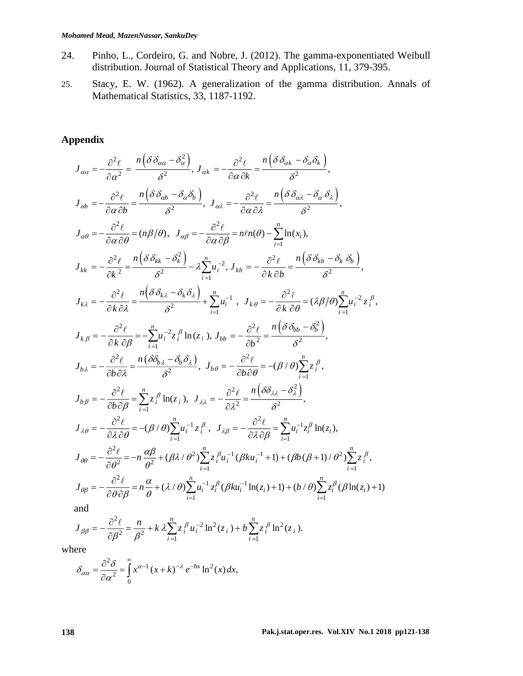- 24. Pinho, L., Cordeiro, G. and Nobre, J. (2012). The gamma-exponentiated Weibull distribution. Journal of Statistical Theory and Applications, 11, 379-395.
- 25. Stacy, E. W. (1962). A generalization of the gamma distribution. Annals of Mathematical Statistics, 33, 1187-1192.

# **Appendix**

$$
J_{\alpha\alpha} = -\frac{\partial^2 \ell}{\partial \alpha^2} = \frac{n(\delta \delta_{\alpha\alpha} - \delta_{\alpha}^2)}{\delta^2}, J_{\alpha k} = -\frac{\partial^2 \ell}{\partial \alpha \delta k} = \frac{n(\delta \delta_{\alpha k} - \delta_{\alpha} \delta_k)}{\delta^2},
$$
  
\n
$$
J_{\alpha b} = -\frac{\partial^2 \ell}{\partial \alpha \partial b} = \frac{n(\delta \delta_{\alpha b} - \delta_{\alpha} \delta_b)}{\delta^2}, J_{\alpha \lambda} = -\frac{\partial^2 \ell}{\partial \alpha \partial \lambda} = \frac{n(\delta \delta_{\alpha \lambda} - \delta_{\alpha} \delta_{\lambda})}{\delta^2},
$$
  
\n
$$
J_{\alpha \theta} = -\frac{\partial^2 \ell}{\partial \alpha \partial \theta} = (n\beta/\theta), J_{\alpha \beta} = -\frac{\partial^2 \ell}{\partial \alpha \partial \beta} = n\ell n(\theta) - \sum_{i=1}^n \ln(x_i),
$$
  
\n
$$
J_{kk} = -\frac{\partial^2 \ell}{\partial k^2} = \frac{n(\delta \delta_{kk} - \delta_k^2)}{\delta^2} - \lambda \sum_{i=1}^n u_i^{-2}, J_{kb} = -\frac{\partial^2 \ell}{\partial k \partial b} = \frac{n(\delta \delta_{kb} - \delta_k \delta_b)}{\delta^2},
$$
  
\n
$$
J_{k\lambda} = -\frac{\partial^2 \ell}{\partial k \partial \lambda} = \frac{n(\delta \delta_{k\lambda} - \delta_k \delta_{\lambda})}{\delta^2} + \sum_{i=1}^n u_i^{-1}, J_{k\theta} = -\frac{\partial^2 \ell}{\partial k \partial \theta} = (\lambda \beta/\theta) \sum_{i=1}^n u_i^{-2} z_i^{\beta},
$$
  
\n
$$
J_{k\beta} = -\frac{\partial^2 \ell}{\partial k \partial \beta} = -\sum_{i=1}^n u_i^{-2} z_i^{\beta} \ln(z_i), J_{bb} = -\frac{\partial^2 \ell}{\partial b^2} = \frac{n(\delta \delta_{bb} - \delta_k^2)}{\delta^2},
$$
  
\n
$$
J_{b\beta} = -\frac{\partial^2 \ell}{\partial b \partial \lambda} = \frac{n(\delta \delta_{k\lambda} - \delta_{k\lambda} \delta_{\lambda})}{\delta
$$

$$
\mathsf{ind}^-
$$

$$
J_{\beta\beta} = -\frac{\partial^2 \ell}{\partial \beta^2} = \frac{n}{\beta^2} + k \lambda \sum_{i=1}^n z_i^{\beta} u_i^{-2} \ln^2(z_i) + b \sum_{i=1}^n z_i^{\beta} \ln^2(z_i).
$$

where

$$
\delta_{\alpha\alpha} = \frac{\partial^2 \delta}{\partial \alpha^2} = \int_0^\infty x^{\alpha-1} (x+k)^{-\lambda} e^{-bx} \ln^2(x) dx,
$$